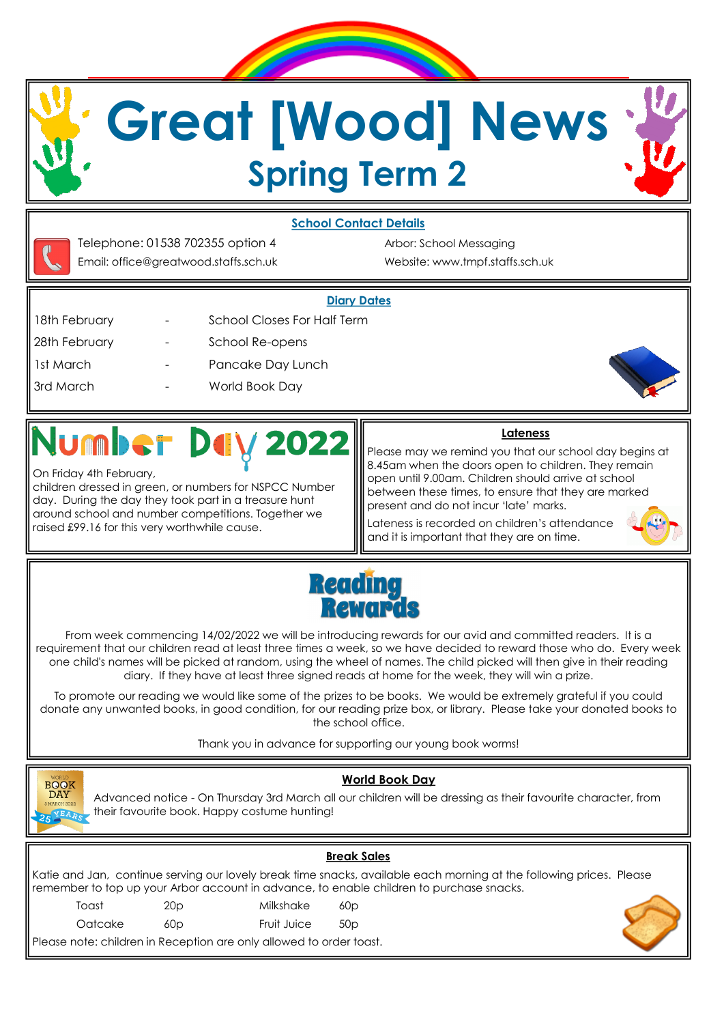## **Great [Wood] News Spring Term 2**

**School Contact Details** 



## 2022

On Friday 4th February,

children dressed in green, or numbers for NSPCC Number day. During the day they took part in a treasure hunt around school and number competitions. Together we raised £99.16 for this very worthwhile cause.

## **Lateness**

Please may we remind you that our school day begins at 8.45am when the doors open to children. They remain open until 9.00am. Children should arrive at school between these times, to ensure that they are marked present and do not incur 'late' marks.

Lateness is recorded on children's attendance and it is important that they are on time.





From week commencing 14/02/2022 we will be introducing rewards for our avid and committed readers. It is a requirement that our children read at least three times a week, so we have decided to reward those who do. Every week one child's names will be picked at random, using the wheel of names. The child picked will then give in their reading diary. If they have at least three signed reads at home for the week, they will win a prize.

To promote our reading we would like some of the prizes to be books. We would be extremely grateful if you could donate any unwanted books, in good condition, for our reading prize box, or library. Please take your donated books to the school office.

Thank you in advance for supporting our young book worms!



Advanced notice - On Thursday 3rd March all our children will be dressing as their favourite character, from their favourite book. Happy costume hunting!

**World Book Day** 

| <b>Break Sales</b>                                                                                                                                                                                                 |                 |             |                 |  |  |  |  |
|--------------------------------------------------------------------------------------------------------------------------------------------------------------------------------------------------------------------|-----------------|-------------|-----------------|--|--|--|--|
| Katie and Jan, continue serving our lovely break time snacks, available each morning at the following prices. Please  <br>remember to top up your Arbor account in advance, to enable children to purchase snacks. |                 |             |                 |  |  |  |  |
| Toast                                                                                                                                                                                                              | 20 <sub>p</sub> | Milkshake   | 60p             |  |  |  |  |
| Oatcake                                                                                                                                                                                                            | 60 <sub>D</sub> | Fruit Juice | 50 <sub>D</sub> |  |  |  |  |
| Please note: children in Reception are only allowed to order toast.                                                                                                                                                |                 |             |                 |  |  |  |  |